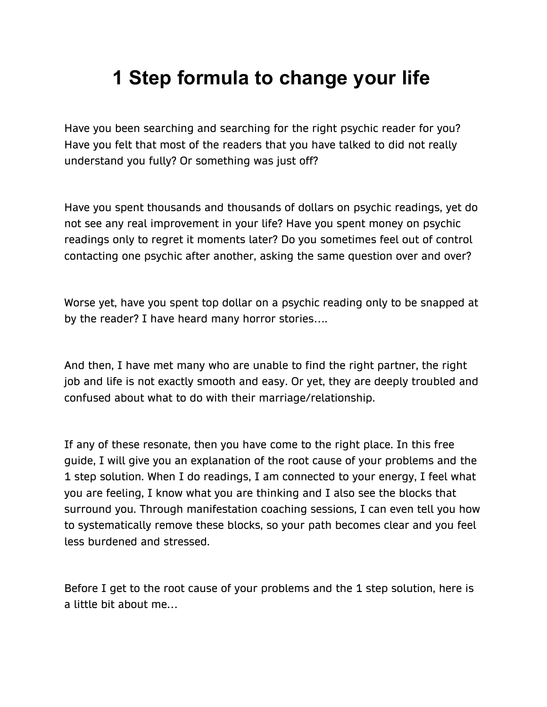# **1 Step formula to change your life**

Have you been searching and searching for the right psychic reader for you? Have you felt that most of the readers that you have talked to did not really understand you fully? Or something was just off?

Have you spent thousands and thousands of dollars on psychic readings, yet do not see any real improvement in your life? Have you spent money on psychic readings only to regret it moments later? Do you sometimes feel out of control contacting one psychic after another, asking the same question over and over?

Worse yet, have you spent top dollar on a psychic reading only to be snapped at by the reader? I have heard many horror stories….

And then, I have met many who are unable to find the right partner, the right job and life is not exactly smooth and easy. Or yet, they are deeply troubled and confused about what to do with their marriage/relationship.

If any of these resonate, then you have come to the right place. In this free guide, I will give you an explanation of the root cause of your problems and the 1 step solution. When I do readings, I am connected to your energy, I feel what you are feeling, I know what you are thinking and I also see the blocks that surround you. Through manifestation coaching sessions, I can even tell you how to systematically remove these blocks, so your path becomes clear and you feel less burdened and stressed.

Before I get to the root cause of your problems and the 1 step solution, here is a little bit about me…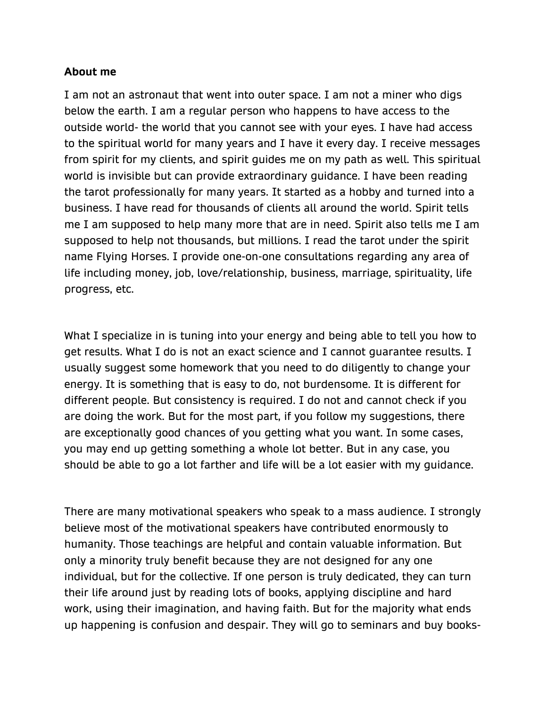### **About me**

I am not an astronaut that went into outer space. I am not a miner who digs below the earth. I am a regular person who happens to have access to the outside world- the world that you cannot see with your eyes. I have had access to the spiritual world for many years and I have it every day. I receive messages from spirit for my clients, and spirit guides me on my path as well. This spiritual world is invisible but can provide extraordinary guidance. I have been reading the tarot professionally for many years. It started as a hobby and turned into a business. I have read for thousands of clients all around the world. Spirit tells me I am supposed to help many more that are in need. Spirit also tells me I am supposed to help not thousands, but millions. I read the tarot under the spirit name Flying Horses. I provide one-on-one consultations regarding any area of life including money, job, love/relationship, business, marriage, spirituality, life progress, etc.

What I specialize in is tuning into your energy and being able to tell you how to get results. What I do is not an exact science and I cannot guarantee results. I usually suggest some homework that you need to do diligently to change your energy. It is something that is easy to do, not burdensome. It is different for different people. But consistency is required. I do not and cannot check if you are doing the work. But for the most part, if you follow my suggestions, there are exceptionally good chances of you getting what you want. In some cases, you may end up getting something a whole lot better. But in any case, you should be able to go a lot farther and life will be a lot easier with my guidance.

There are many motivational speakers who speak to a mass audience. I strongly believe most of the motivational speakers have contributed enormously to humanity. Those teachings are helpful and contain valuable information. But only a minority truly benefit because they are not designed for any one individual, but for the collective. If one person is truly dedicated, they can turn their life around just by reading lots of books, applying discipline and hard work, using their imagination, and having faith. But for the majority what ends up happening is confusion and despair. They will go to seminars and buy books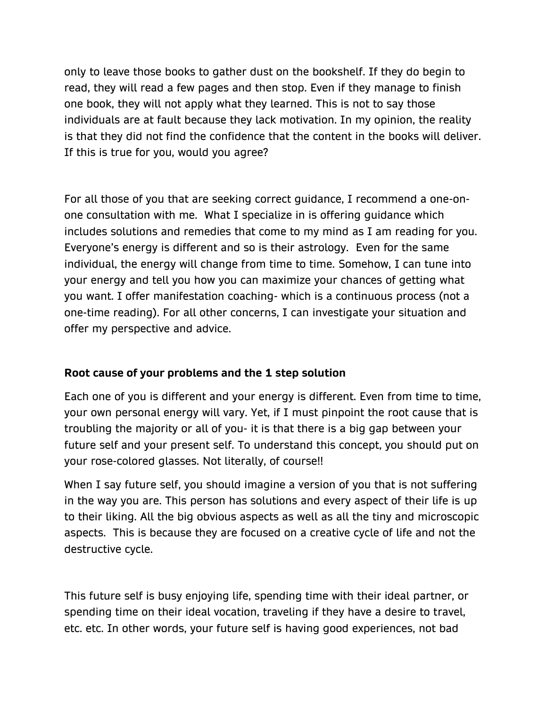only to leave those books to gather dust on the bookshelf. If they do begin to read, they will read a few pages and then stop. Even if they manage to finish one book, they will not apply what they learned. This is not to say those individuals are at fault because they lack motivation. In my opinion, the reality is that they did not find the confidence that the content in the books will deliver. If this is true for you, would you agree?

For all those of you that are seeking correct guidance, I recommend a one-onone consultation with me. What I specialize in is offering guidance which includes solutions and remedies that come to my mind as I am reading for you. Everyone's energy is different and so is their astrology. Even for the same individual, the energy will change from time to time. Somehow, I can tune into your energy and tell you how you can maximize your chances of getting what you want. I offer manifestation coaching- which is a continuous process (not a one-time reading). For all other concerns, I can investigate your situation and offer my perspective and advice.

## **Root cause of your problems and the 1 step solution**

Each one of you is different and your energy is different. Even from time to time, your own personal energy will vary. Yet, if I must pinpoint the root cause that is troubling the majority or all of you- it is that there is a big gap between your future self and your present self. To understand this concept, you should put on your rose-colored glasses. Not literally, of course!!

When I say future self, you should imagine a version of you that is not suffering in the way you are. This person has solutions and every aspect of their life is up to their liking. All the big obvious aspects as well as all the tiny and microscopic aspects. This is because they are focused on a creative cycle of life and not the destructive cycle.

This future self is busy enjoying life, spending time with their ideal partner, or spending time on their ideal vocation, traveling if they have a desire to travel, etc. etc. In other words, your future self is having good experiences, not bad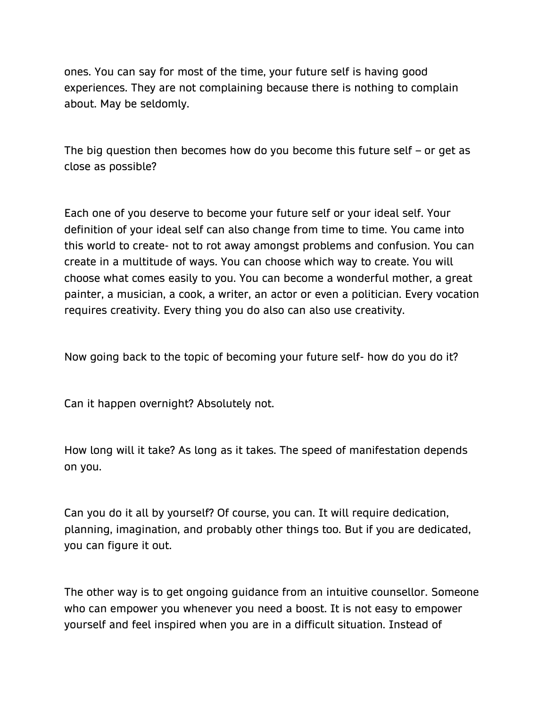ones. You can say for most of the time, your future self is having good experiences. They are not complaining because there is nothing to complain about. May be seldomly.

The big question then becomes how do you become this future self – or get as close as possible?

Each one of you deserve to become your future self or your ideal self. Your definition of your ideal self can also change from time to time. You came into this world to create- not to rot away amongst problems and confusion. You can create in a multitude of ways. You can choose which way to create. You will choose what comes easily to you. You can become a wonderful mother, a great painter, a musician, a cook, a writer, an actor or even a politician. Every vocation requires creativity. Every thing you do also can also use creativity.

Now going back to the topic of becoming your future self- how do you do it?

Can it happen overnight? Absolutely not.

How long will it take? As long as it takes. The speed of manifestation depends on you.

Can you do it all by yourself? Of course, you can. It will require dedication, planning, imagination, and probably other things too. But if you are dedicated, you can figure it out.

The other way is to get ongoing guidance from an intuitive counsellor. Someone who can empower you whenever you need a boost. It is not easy to empower yourself and feel inspired when you are in a difficult situation. Instead of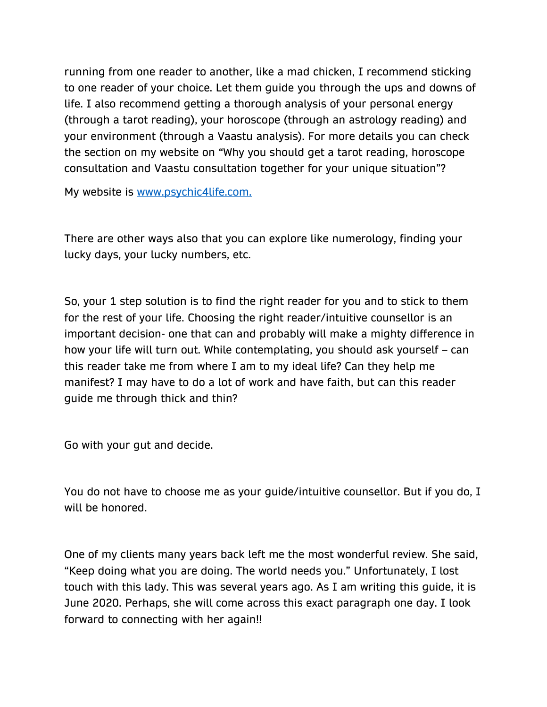running from one reader to another, like a mad chicken, I recommend sticking to one reader of your choice. Let them guide you through the ups and downs of life. I also recommend getting a thorough analysis of your personal energy (through a tarot reading), your horoscope (through an astrology reading) and your environment (through a Vaastu analysis). For more details you can check the section on my website on "Why you should get a tarot reading, horoscope consultation and Vaastu consultation together for your unique situation"?

My website is [www.psychic4life.com.](http://www.psychic4life.com/)

There are other ways also that you can explore like numerology, finding your lucky days, your lucky numbers, etc.

So, your 1 step solution is to find the right reader for you and to stick to them for the rest of your life. Choosing the right reader/intuitive counsellor is an important decision- one that can and probably will make a mighty difference in how your life will turn out. While contemplating, you should ask yourself – can this reader take me from where I am to my ideal life? Can they help me manifest? I may have to do a lot of work and have faith, but can this reader guide me through thick and thin?

Go with your gut and decide.

You do not have to choose me as your guide/intuitive counsellor. But if you do, I will be honored.

One of my clients many years back left me the most wonderful review. She said, "Keep doing what you are doing. The world needs you." Unfortunately, I lost touch with this lady. This was several years ago. As I am writing this guide, it is June 2020. Perhaps, she will come across this exact paragraph one day. I look forward to connecting with her again!!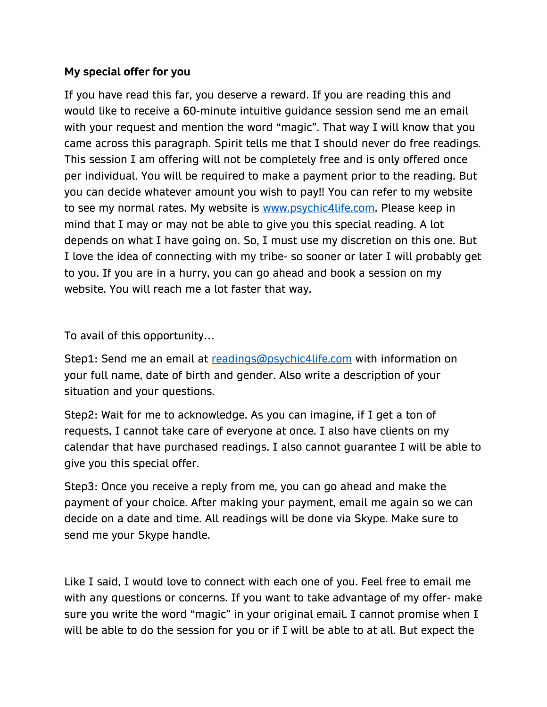### **My special offer for you**

If you have read this far, you deserve a reward. If you are reading this and would like to receive a 60-minute intuitive guidance session send me an email with your request and mention the word "magic". That way I will know that you came across this paragraph. Spirit tells me that I should never do free readings. This session I am offering will not be completely free and is only offered once per individual. You will be required to make a payment prior to the reading. But you can decide whatever amount you wish to pay!! You can refer to my website to see my normal rates. My website is [www.psychic4life.com.](http://www.psychic4life.com/) Please keep in mind that I may or may not be able to give you this special reading. A lot depends on what I have going on. So, I must use my discretion on this one. But I love the idea of connecting with my tribe- so sooner or later I will probably get to you. If you are in a hurry, you can go ahead and book a session on my website. You will reach me a lot faster that way.

To avail of this opportunity…

Step1: Send me an email at [readings@psychic4life.com](mailto:readings@psychic4life.com) with information on your full name, date of birth and gender. Also write a description of your situation and your questions.

Step2: Wait for me to acknowledge. As you can imagine, if I get a ton of requests, I cannot take care of everyone at once. I also have clients on my calendar that have purchased readings. I also cannot guarantee I will be able to give you this special offer.

Step3: Once you receive a reply from me, you can go ahead and make the payment of your choice. After making your payment, email me again so we can decide on a date and time. All readings will be done via Skype. Make sure to send me your Skype handle.

Like I said, I would love to connect with each one of you. Feel free to email me with any questions or concerns. If you want to take advantage of my offer- make sure you write the word "magic" in your original email. I cannot promise when I will be able to do the session for you or if I will be able to at all. But expect the